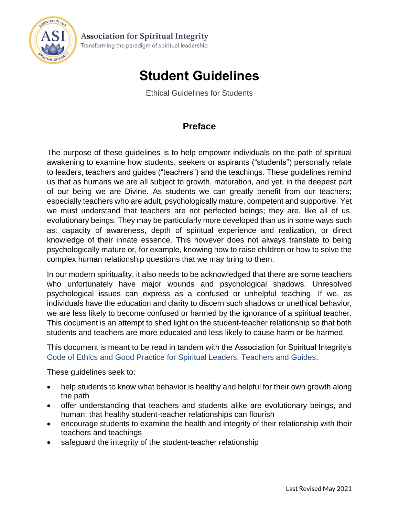

## **Student Guidelines**

Ethical Guidelines for Students

## **Preface**

The purpose of these guidelines is to help empower individuals on the path of spiritual awakening to examine how students, seekers or aspirants ("students") personally relate to leaders, teachers and guides ("teachers") and the teachings. These guidelines remind us that as humans we are all subject to growth, maturation, and yet, in the deepest part of our being we are Divine. As students we can greatly benefit from our teachers; especially teachers who are adult, psychologically mature, competent and supportive. Yet we must understand that teachers are not perfected beings; they are, like all of us, evolutionary beings. They may be particularly more developed than us in some ways such as: capacity of awareness, depth of spiritual experience and realization, or direct knowledge of their innate essence. This however does not always translate to being psychologically mature or, for example, knowing how to raise children or how to solve the complex human relationship questions that we may bring to them.

In our modern spirituality, it also needs to be acknowledged that there are some teachers who unfortunately have major wounds and psychological shadows. Unresolved psychological issues can express as a confused or unhelpful teaching. If we, as individuals have the education and clarity to discern such shadows or unethical behavior, we are less likely to become confused or harmed by the ignorance of a spiritual teacher. This document is an attempt to shed light on the student-teacher relationship so that both students and teachers are more educated and less likely to cause harm or be harmed.

This document is meant to be read in tandem with the Association for Spiritual Integrity's Code of Ethics and Good Practice [for Spiritual Leaders, Teachers and Guides.](http://spiritual-integrity.org/ethics/)

These guidelines seek to:

- help students to know what behavior is healthy and helpful for their own growth along the path
- offer understanding that teachers and students alike are evolutionary beings, and human; that healthy student-teacher relationships can flourish
- encourage students to examine the health and integrity of their relationship with their teachers and teachings
- safeguard the integrity of the student-teacher relationship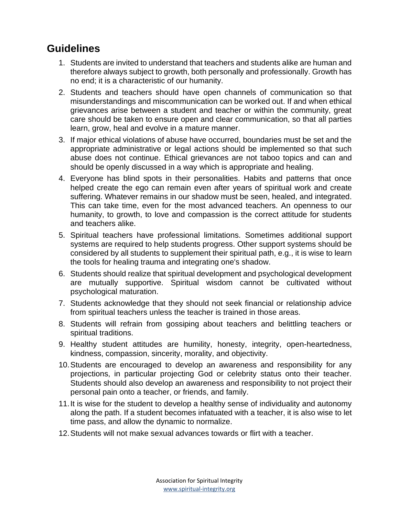## **Guidelines**

- 1. Students are invited to understand that teachers and students alike are human and therefore always subject to growth, both personally and professionally. Growth has no end; it is a characteristic of our humanity.
- 2. Students and teachers should have open channels of communication so that misunderstandings and miscommunication can be worked out. If and when ethical grievances arise between a student and teacher or within the community, great care should be taken to ensure open and clear communication, so that all parties learn, grow, heal and evolve in a mature manner.
- 3. If major ethical violations of abuse have occurred, boundaries must be set and the appropriate administrative or legal actions should be implemented so that such abuse does not continue. Ethical grievances are not taboo topics and can and should be openly discussed in a way which is appropriate and healing.
- 4. Everyone has blind spots in their personalities. Habits and patterns that once helped create the ego can remain even after years of spiritual work and create suffering. Whatever remains in our shadow must be seen, healed, and integrated. This can take time, even for the most advanced teachers. An openness to our humanity, to growth, to love and compassion is the correct attitude for students and teachers alike.
- 5. Spiritual teachers have professional limitations. Sometimes additional support systems are required to help students progress. Other support systems should be considered by all students to supplement their spiritual path, e.g., it is wise to learn the tools for healing trauma and integrating one's shadow.
- 6. Students should realize that spiritual development and psychological development are mutually supportive. Spiritual wisdom cannot be cultivated without psychological maturation.
- 7. Students acknowledge that they should not seek financial or relationship advice from spiritual teachers unless the teacher is trained in those areas.
- 8. Students will refrain from gossiping about teachers and belittling teachers or spiritual traditions.
- 9. Healthy student attitudes are humility, honesty, integrity, open-heartedness, kindness, compassion, sincerity, morality, and objectivity.
- 10.Students are encouraged to develop an awareness and responsibility for any projections, in particular projecting God or celebrity status onto their teacher. Students should also develop an awareness and responsibility to not project their personal pain onto a teacher, or friends, and family.
- 11.It is wise for the student to develop a healthy sense of individuality and autonomy along the path. If a student becomes infatuated with a teacher, it is also wise to let time pass, and allow the dynamic to normalize.
- 12.Students will not make sexual advances towards or flirt with a teacher.